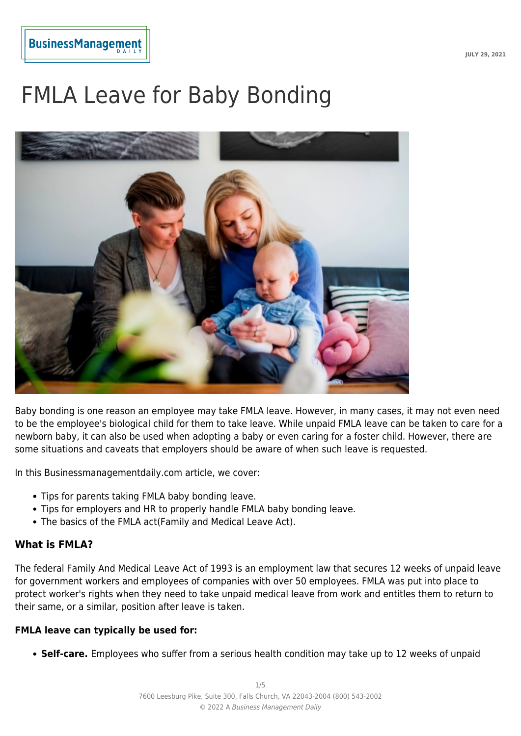# FMLA Leave for Baby Bonding



Baby bonding is one reason an employee may take FMLA leave. However, in many cases, it may not even need to be the employee's biological child for them to take leave. While unpaid FMLA leave can be taken to care for a newborn baby, it can also be used when adopting a baby or even caring for a foster child. However, there are some situations and caveats that employers should be aware of when such leave is requested.

In this Businessmanagementdaily.com article, we cover:

- Tips for parents taking FMLA baby bonding leave.
- Tips for employers and HR to properly handle FMLA baby bonding leave.
- The basics of the FMLA act(Family and Medical Leave Act).

#### **What is FMLA?**

The federal Family And Medical Leave Act of 1993 is an employment law that secures 12 weeks of unpaid leave for government workers and employees of companies with over 50 employees. FMLA was put into place to protect worker's rights when they need to take unpaid medical leave from work and entitles them to return to their same, or a similar, position after leave is taken.

#### **FMLA leave can typically be used for:**

**Self-care.** Employees who suffer from a serious health condition may take up to 12 weeks of unpaid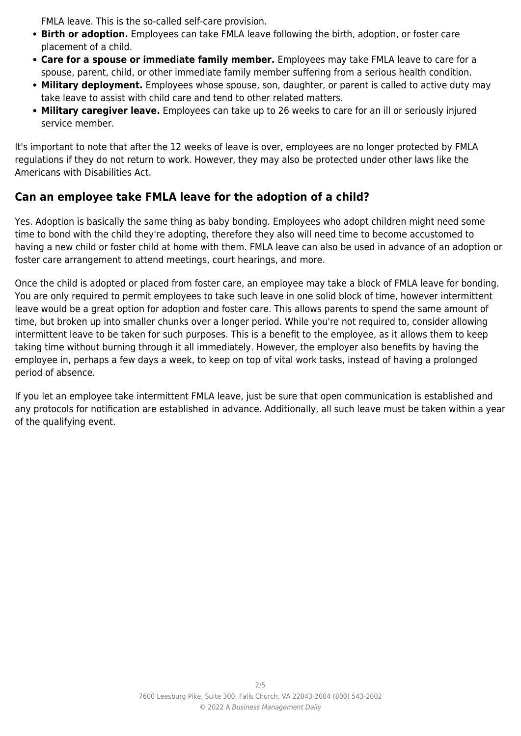FMLA leave. This is the so-called self-care provision.

- **Birth or adoption.** Employees can take FMLA leave following the birth, adoption, or foster care placement of a child.
- **Care for a spouse or immediate family member.** Employees may take FMLA leave to care for a spouse, parent, child, or other immediate family member suffering from a serious health condition.
- **Military deployment.** Employees whose spouse, son, daughter, or parent is called to active duty may take leave to assist with child care and tend to other related matters.
- **Military caregiver leave.** Employees can take up to 26 weeks to care for an ill or seriously injured service member.

It's important to note that after the 12 weeks of leave is over, employees are no longer protected by FMLA regulations if they do not return to work. However, they may also be protected under other laws like the Americans with Disabilities Act.

# **Can an employee take FMLA leave for the adoption of a child?**

Yes. Adoption is basically the same thing as baby bonding. Employees who adopt children might need some time to bond with the child they're adopting, therefore they also will need time to become accustomed to having a new child or foster child at home with them. FMLA leave can also be used in advance of an adoption or foster care arrangement to attend meetings, court hearings, and more.

Once the child is adopted or placed from foster care, an employee may take a block of FMLA leave for bonding. You are only required to permit employees to take such leave in one solid block of time, however intermittent leave would be a great option for adoption and foster care. This allows parents to spend the same amount of time, but broken up into smaller chunks over a longer period. While you're not required to, consider allowing intermittent leave to be taken for such purposes. This is a benefit to the employee, as it allows them to keep taking time without burning through it all immediately. However, the employer also benefits by having the employee in, perhaps a few days a week, to keep on top of vital work tasks, instead of having a prolonged period of absence.

If you let an employee take intermittent FMLA leave, just be sure that open communication is established and any protocols for notification are established in advance. Additionally, all such leave must be taken within a year of the qualifying event.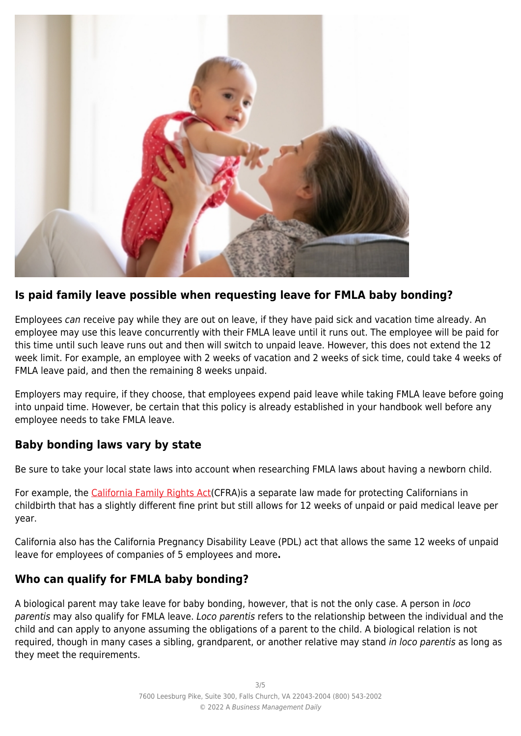

## **Is paid family leave possible when requesting leave for FMLA baby bonding?**

Employees can receive pay while they are out on leave, if they have paid sick and vacation time already. An employee may use this leave concurrently with their FMLA leave until it runs out. The employee will be paid for this time until such leave runs out and then will switch to unpaid leave. However, this does not extend the 12 week limit. For example, an employee with 2 weeks of vacation and 2 weeks of sick time, could take 4 weeks of FMLA leave paid, and then the remaining 8 weeks unpaid.

Employers may require, if they choose, that employees expend paid leave while taking FMLA leave before going into unpaid time. However, be certain that this policy is already established in your handbook well before any employee needs to take FMLA leave.

## **Baby bonding laws vary by state**

Be sure to take your local state laws into account when researching FMLA laws about having a newborn child.

For example, the [California Family Rights Act](https://ca.db101.org/ca/situations/workandbenefits/rights/program2c.htm)(CFRA)is a separate law made for protecting Californians in childbirth that has a slightly different fine print but still allows for 12 weeks of unpaid or paid medical leave per year.

California also has the California Pregnancy Disability Leave (PDL) act that allows the same 12 weeks of unpaid leave for employees of companies of 5 employees and more**.**

# **Who can qualify for FMLA baby bonding?**

A biological parent may take leave for baby bonding, however, that is not the only case. A person in loco parentis may also qualify for FMLA leave. Loco parentis refers to the relationship between the individual and the child and can apply to anyone assuming the obligations of a parent to the child. A biological relation is not required, though in many cases a sibling, grandparent, or another relative may stand in loco parentis as long as they meet the requirements.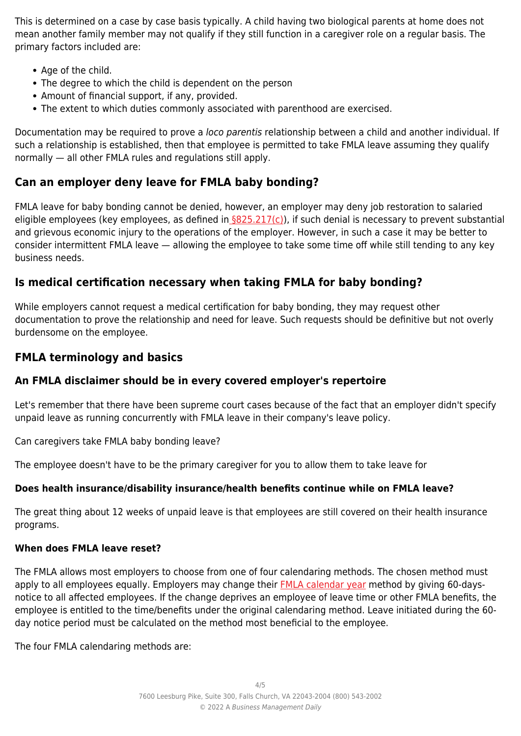This is determined on a case by case basis typically. A child having two biological parents at home does not mean another family member may not qualify if they still function in a caregiver role on a regular basis. The primary factors included are:

- Age of the child.
- The degree to which the child is dependent on the person
- Amount of financial support, if any, provided.
- The extent to which duties commonly associated with parenthood are exercised.

Documentation may be required to prove a loco parentis relationship between a child and another individual. If such a relationship is established, then that employee is permitted to take FMLA leave assuming they qualify normally — all other FMLA rules and regulations still apply.

## **Can an employer deny leave for FMLA baby bonding?**

FMLA leave for baby bonding cannot be denied, however, an employer may deny job restoration to salaried eligible employees (key employees, as defined in  $\S825.217(c)$ ), if such denial is necessary to prevent substantial and grievous economic injury to the operations of the employer. However, in such a case it may be better to consider intermittent FMLA leave — allowing the employee to take some time off while still tending to any key business needs.

## **Is medical certification necessary when taking FMLA for baby bonding?**

While employers cannot request a medical certification for baby bonding, they may request other documentation to prove the relationship and need for leave. Such requests should be definitive but not overly burdensome on the employee.

## **FMLA terminology and basics**

## **An FMLA disclaimer should be in every covered employer's repertoire**

Let's remember that there have been supreme court cases because of the fact that an employer didn't specify unpaid leave as running concurrently with FMLA leave in their company's leave policy.

Can caregivers take FMLA baby bonding leave?

The employee doesn't have to be the primary caregiver for you to allow them to take leave for

#### **Does health insurance/disability insurance/health benefits continue while on FMLA leave?**

The great thing about 12 weeks of unpaid leave is that employees are still covered on their health insurance programs.

#### **When does FMLA leave reset?**

The FMLA allows most employers to choose from one of four calendaring methods. The chosen method must apply to all employees equally. Employers may change their **FMLA** calendar year method by giving 60-daysnotice to all affected employees. If the change deprives an employee of leave time or other FMLA benefits, the employee is entitled to the time/benefits under the original calendaring method. Leave initiated during the 60 day notice period must be calculated on the method most beneficial to the employee.

The four FMLA calendaring methods are: